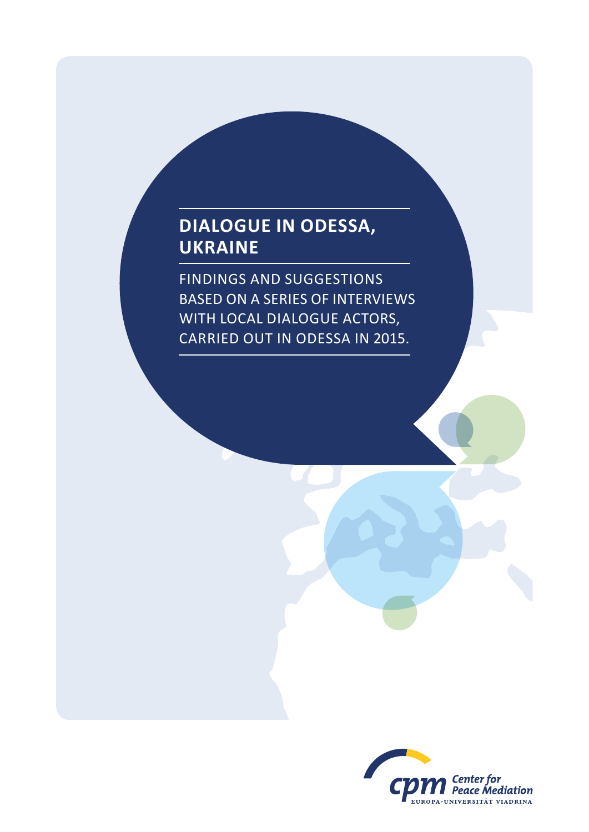# **Dialogue in Odessa, Ukraine**

Findings and suggestions based on a series of interviews with local dialogue actors, carried out in Odessa in 2015.

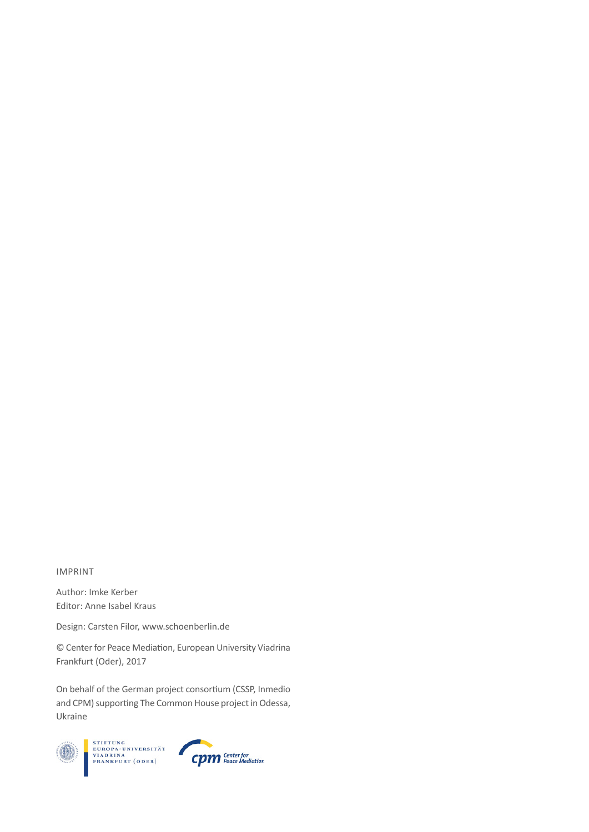## IMPRint

Author: Imke Kerber Editor: Anne Isabel Kraus

Design: Carsten Filor, www.schoenberlin.de

© Center for Peace Mediation, European University Viadrina Frankfurt (Oder), 2017

On behalf of the German project consortium (CSSP, Inmedio and CPM) supporting The Common House project in Odessa, Ukraine



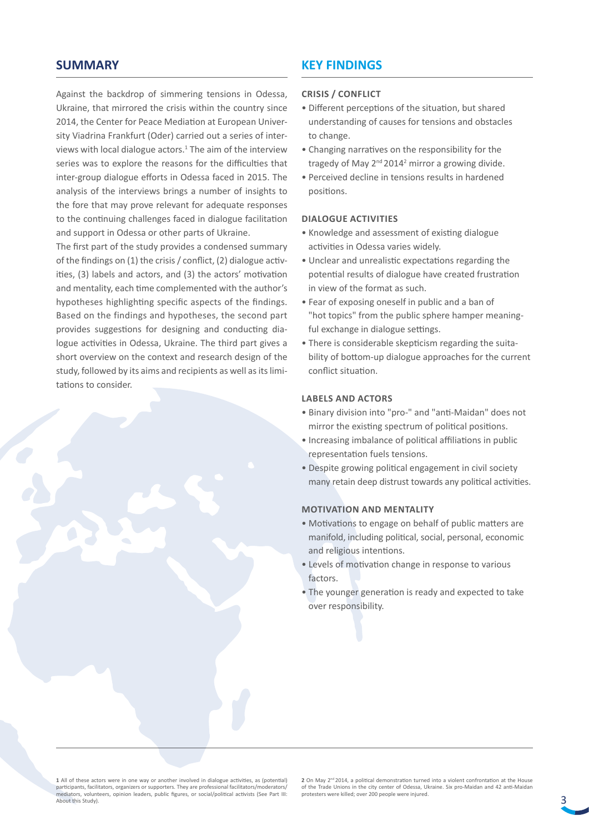# **SUMMARY**

Against the backdrop of simmering tensions in Odessa, Ukraine, that mirrored the crisis within the country since 2014, the Center for Peace Mediation at European University Viadrina Frankfurt (Oder) carried out a series of interviews with local dialogue actors.<sup>1</sup> The aim of the interview series was to explore the reasons for the difficulties that inter-group dialogue efforts in Odessa faced in 2015. The analysis of the interviews brings a number of insights to the fore that may prove relevant for adequate responses to the continuing challenges faced in dialogue facilitation and support in Odessa or other parts of Ukraine.

The first part of the study provides a condensed summary of the findings on (1) the crisis / conflict, (2) dialogue activities, (3) labels and actors, and (3) the actors' motivation and mentality, each time complemented with the author's hypotheses highlighting specific aspects of the findings. Based on the findings and hypotheses, the second part provides suggestions for designing and conducting dialogue activities in Odessa, Ukraine. The third part gives a short overview on the context and research design of the study, followed by its aims and recipients as well as its limitations to consider.

# **KEY FINDINGS**

# **Crisis / Conflict**

- Different perceptions of the situation, but shared understanding of causes for tensions and obstacles to change.
- Changing narratives on the responsibility for the tragedy of May 2<sup>nd</sup> 2014<sup>2</sup> mirror a growing divide.
- Perceived decline in tensions results in hardened positions.

#### **Dialogue Activities**

- Knowledge and assessment of existing dialogue activities in Odessa varies widely.
- Unclear and unrealistic expectations regarding the potential results of dialogue have created frustration in view of the format as such.
- Fear of exposing oneself in public and a ban of "hot topics" from the public sphere hamper meaningful exchange in dialogue settings.
- There is considerable skepticism regarding the suitability of bottom-up dialogue approaches for the current conflict situation.

# **Labels and Actors**

- Binary division into "pro-" and "anti-Maidan" does not mirror the existing spectrum of political positions.
- Increasing imbalance of political affiliations in public representation fuels tensions.
- Despite growing political engagement in civil society many retain deep distrust towards any political activities.

## **Motivation and Mentality**

- Motivations to engage on behalf of public matters are manifold, including political, social, personal, economic and religious intentions.
- Levels of motivation change in response to various factors.
- The younger generation is ready and expected to take over responsibility.

**1** All of these actors were in one way or another involved in dialogue activities, as (potential) participants, facilitators, organizers or supporters. They are professional facilitators/moderators/ mediators, volunteers, opinion leaders, public figures, or social/political activists (See Part III: About this Study).

**2** On May 2<sup>nd</sup> 2014, a political demonstration turned into a violent confrontation at the House of the Trade Unions in the city center of Odessa, Ukraine. Six pro-Maidan and 42 anti-Maidan protesters were killed; over 200 people were injured.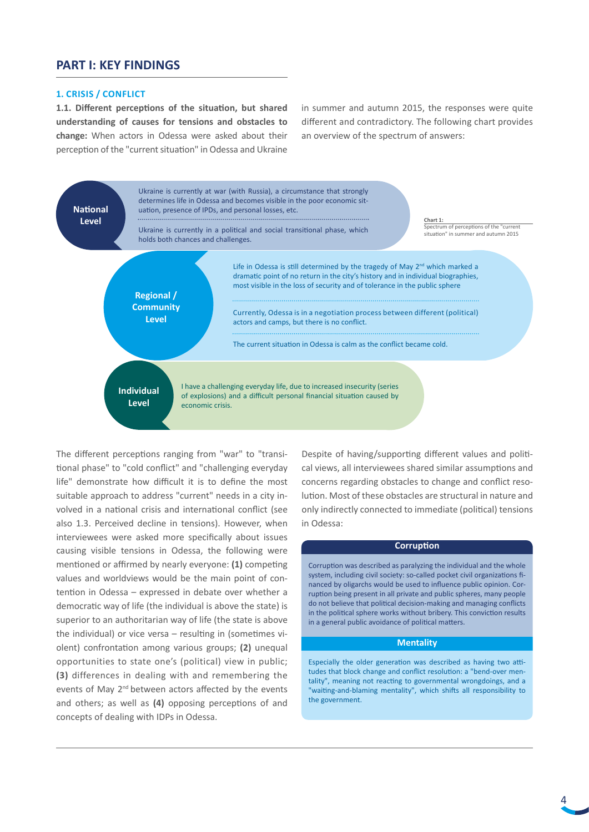# **PART I: KEY FINDINGS**

#### **1. Crisis / Conflict**

**1.1. Different perceptions of the situation, but shared understanding of causes for tensions and obstacles to change:** When actors in Odessa were asked about their perception of the "current situation" in Odessa and Ukraine

in summer and autumn 2015, the responses were quite different and contradictory. The following chart provides an overview of the spectrum of answers:



The different perceptions ranging from "war" to "transitional phase" to "cold conflict" and "challenging everyday life" demonstrate how difficult it is to define the most suitable approach to address "current" needs in a city involved in a national crisis and international conflict (see also 1.3. Perceived decline in tensions). However, when interviewees were asked more specifically about issues causing visible tensions in Odessa, the following were mentioned or affirmed by nearly everyone: **(1)** competing values and worldviews would be the main point of contention in Odessa – expressed in debate over whether a democratic way of life (the individual is above the state) is superior to an authoritarian way of life (the state is above the individual) or vice versa – resulting in (sometimes violent) confrontation among various groups; **(2)** unequal opportunities to state one's (political) view in public; **(3)** differences in dealing with and remembering the events of May 2<sup>nd</sup> between actors affected by the events and others; as well as **(4)** opposing perceptions of and concepts of dealing with IDPs in Odessa.

Despite of having/supporting different values and political views, all interviewees shared similar assumptions and concerns regarding obstacles to change and conflict resolution. Most of these obstacles are structural in nature and only indirectly connected to immediate (political) tensions in Odessa:

## **Corruption**

Corruption was described as paralyzing the individual and the whole system, including civil society: so-called pocket civil organizations financed by oligarchs would be used to influence public opinion. Corruption being present in all private and public spheres, many people do not believe that political decision-making and managing conflicts in the political sphere works without bribery. This conviction results in a general public avoidance of political matters.

#### **Mentality**

Especially the older generation was described as having two attitudes that block change and conflict resolution: a "bend-over mentality", meaning not reacting to governmental wrongdoings, and a "waiting-and-blaming mentality", which shifts all responsibility to the government.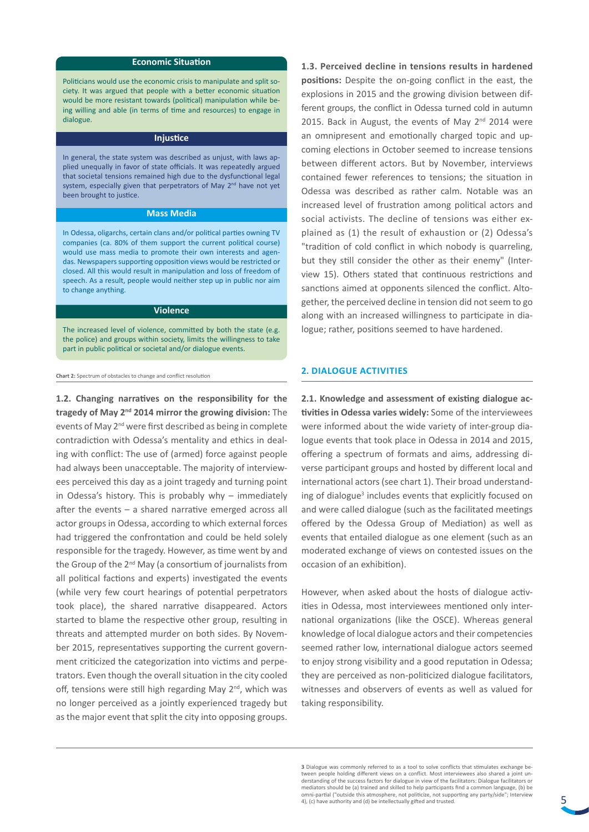#### **Economic Situation**

Politicians would use the economic crisis to manipulate and split society. It was argued that people with a better economic situation would be more resistant towards (political) manipulation while being willing and able (in terms of time and resources) to engage in dialogue.

#### **Injustice**

In general, the state system was described as unjust, with laws applied unequally in favor of state officials. It was repeatedly argued that societal tensions remained high due to the dysfunctional legal system, especially given that perpetrators of May 2<sup>nd</sup> have not yet been brought to justice.

#### **Mass Media**

In Odessa, oligarchs, certain clans and/or political parties owning TV companies (ca. 80% of them support the current political course) would use mass media to promote their own interests and agendas. Newspapers supporting opposition views would be restricted or closed. All this would result in manipulation and loss of freedom of speech. As a result, people would neither step up in public nor aim to change anything.

#### **Violence**

The increased level of violence, committed by both the state (e.g. the police) and groups within society, limits the willingness to take part in public political or societal and/or dialogue events.

**Chart 2:** Spectrum of obstacles to change and conflict resolution

**1.2. Changing narratives on the responsibility for the tragedy of May 2nd 2014 mirror the growing division:** The events of May 2<sup>nd</sup> were first described as being in complete contradiction with Odessa's mentality and ethics in dealing with conflict: The use of (armed) force against people had always been unacceptable. The majority of interviewees perceived this day as a joint tragedy and turning point in Odessa's history. This is probably why – immediately after the events – a shared narrative emerged across all actor groups in Odessa, according to which external forces had triggered the confrontation and could be held solely responsible for the tragedy. However, as time went by and the Group of the 2<sup>nd</sup> May (a consortium of journalists from all political factions and experts) investigated the events (while very few court hearings of potential perpetrators took place), the shared narrative disappeared. Actors started to blame the respective other group, resulting in threats and attempted murder on both sides. By November 2015, representatives supporting the current government criticized the categorization into victims and perpetrators. Even though the overall situation in the city cooled off, tensions were still high regarding May 2<sup>nd</sup>, which was no longer perceived as a jointly experienced tragedy but as the major event that split the city into opposing groups.

**1.3. Perceived decline in tensions results in hardened positions:** Despite the on-going conflict in the east, the explosions in 2015 and the growing division between different groups, the conflict in Odessa turned cold in autumn 2015. Back in August, the events of May  $2^{nd}$  2014 were an omnipresent and emotionally charged topic and upcoming elections in October seemed to increase tensions between different actors. But by November, interviews contained fewer references to tensions; the situation in Odessa was described as rather calm. Notable was an increased level of frustration among political actors and social activists. The decline of tensions was either explained as (1) the result of exhaustion or (2) Odessa's "tradition of cold conflict in which nobody is quarreling, but they still consider the other as their enemy" (Interview 15). Others stated that continuous restrictions and sanctions aimed at opponents silenced the conflict. Altogether, the perceived decline in tension did not seem to go along with an increased willingness to participate in dialogue; rather, positions seemed to have hardened.

#### **2. Dialogue Activities**

**2.1. Knowledge and assessment of existing dialogue activities in Odessa varies widely:** Some of the interviewees were informed about the wide variety of inter-group dialogue events that took place in Odessa in 2014 and 2015, offering a spectrum of formats and aims, addressing diverse participant groups and hosted by different local and international actors (see chart 1). Their broad understanding of dialogue<sup>3</sup> includes events that explicitly focused on and were called dialogue (such as the facilitated meetings offered by the Odessa Group of Mediation) as well as events that entailed dialogue as one element (such as an moderated exchange of views on contested issues on the occasion of an exhibition).

However, when asked about the hosts of dialogue activities in Odessa, most interviewees mentioned only international organizations (like the OSCE). Whereas general knowledge of local dialogue actors and their competencies seemed rather low, international dialogue actors seemed to enjoy strong visibility and a good reputation in Odessa; they are perceived as non-politicized dialogue facilitators, witnesses and observers of events as well as valued for taking responsibility.

**<sup>3</sup>** Dialogue was commonly referred to as a tool to solve conflicts that stimulates exchange between people holding different views on a conflict. Most interviewees also shared a joint understanding of the success factors for dialogue in view of the facilitators: Dialogue facilitators or mediators should be (a) trained and skilled to help participants find a common language, (b) be omni-partial ("outside this atmosphere, not politicize, not supporting any party/side"; Interview 4), (c) have authority and (d) be intellectually gifted and trusted.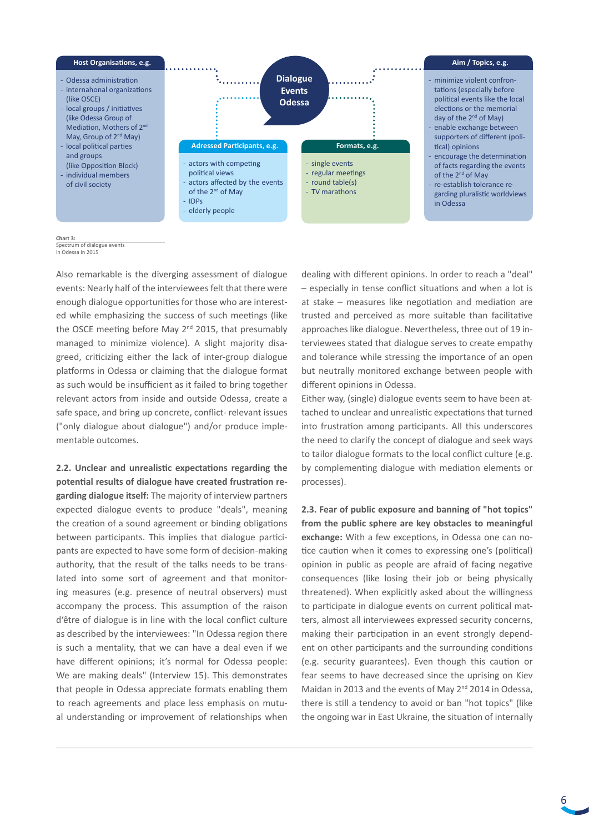

**Chart 3:** 

Spectrum of dialogue events in Odessa in 2015

Also remarkable is the diverging assessment of dialogue events: Nearly half of the interviewees felt that there were enough dialogue opportunities for those who are interested while emphasizing the success of such meetings (like the OSCE meeting before May 2<sup>nd</sup> 2015, that presumably managed to minimize violence). A slight majority disagreed, criticizing either the lack of inter-group dialogue platforms in Odessa or claiming that the dialogue format as such would be insufficient as it failed to bring together relevant actors from inside and outside Odessa, create a safe space, and bring up concrete, conflict- relevant issues ("only dialogue about dialogue") and/or produce implementable outcomes.

**2.2. Unclear and unrealistic expectations regarding the potential results of dialogue have created frustration regarding dialogue itself:** The majority of interview partners expected dialogue events to produce "deals", meaning the creation of a sound agreement or binding obligations between participants. This implies that dialogue participants are expected to have some form of decision-making authority, that the result of the talks needs to be translated into some sort of agreement and that monitoring measures (e.g. presence of neutral observers) must accompany the process. This assumption of the raison d'être of dialogue is in line with the local conflict culture as described by the interviewees: "In Odessa region there is such a mentality, that we can have a deal even if we have different opinions; it's normal for Odessa people: We are making deals" (Interview 15). This demonstrates that people in Odessa appreciate formats enabling them to reach agreements and place less emphasis on mutual understanding or improvement of relationships when

dealing with different opinions. In order to reach a "deal" – especially in tense conflict situations and when a lot is at stake – measures like negotiation and mediation are trusted and perceived as more suitable than facilitative approaches like dialogue. Nevertheless, three out of 19 interviewees stated that dialogue serves to create empathy and tolerance while stressing the importance of an open but neutrally monitored exchange between people with different opinions in Odessa.

Either way, (single) dialogue events seem to have been attached to unclear and unrealistic expectations that turned into frustration among participants. All this underscores the need to clarify the concept of dialogue and seek ways to tailor dialogue formats to the local conflict culture (e.g. by complementing dialogue with mediation elements or processes).

**2.3. Fear of public exposure and banning of "hot topics" from the public sphere are key obstacles to meaningful exchange:** With a few exceptions, in Odessa one can notice caution when it comes to expressing one's (political) opinion in public as people are afraid of facing negative consequences (like losing their job or being physically threatened). When explicitly asked about the willingness to participate in dialogue events on current political matters, almost all interviewees expressed security concerns, making their participation in an event strongly dependent on other participants and the surrounding conditions (e.g. security guarantees). Even though this caution or fear seems to have decreased since the uprising on Kiev Maidan in 2013 and the events of May 2<sup>nd</sup> 2014 in Odessa, there is still a tendency to avoid or ban "hot topics" (like the ongoing war in East Ukraine, the situation of internally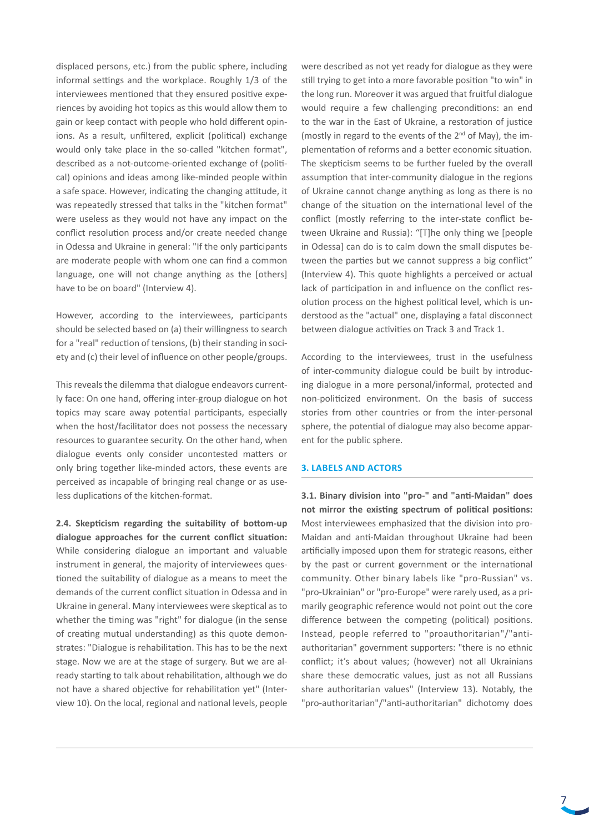displaced persons, etc.) from the public sphere, including informal settings and the workplace. Roughly 1/3 of the interviewees mentioned that they ensured positive experiences by avoiding hot topics as this would allow them to gain or keep contact with people who hold different opinions. As a result, unfiltered, explicit (political) exchange would only take place in the so-called "kitchen format", described as a not-outcome-oriented exchange of (political) opinions and ideas among like-minded people within a safe space. However, indicating the changing attitude, it was repeatedly stressed that talks in the "kitchen format" were useless as they would not have any impact on the conflict resolution process and/or create needed change in Odessa and Ukraine in general: "If the only participants are moderate people with whom one can find a common language, one will not change anything as the [others] have to be on board" (Interview 4).

However, according to the interviewees, participants should be selected based on (a) their willingness to search for a "real" reduction of tensions, (b) their standing in society and (c) their level of influence on other people/groups.

This reveals the dilemma that dialogue endeavors currently face: On one hand, offering inter-group dialogue on hot topics may scare away potential participants, especially when the host/facilitator does not possess the necessary resources to guarantee security. On the other hand, when dialogue events only consider uncontested matters or only bring together like-minded actors, these events are perceived as incapable of bringing real change or as useless duplications of the kitchen-format.

**2.4. Skepticism regarding the suitability of bottom-up dialogue approaches for the current conflict situation:**  While considering dialogue an important and valuable instrument in general, the majority of interviewees questioned the suitability of dialogue as a means to meet the demands of the current conflict situation in Odessa and in Ukraine in general. Many interviewees were skeptical as to whether the timing was "right" for dialogue (in the sense of creating mutual understanding) as this quote demonstrates: "Dialogue is rehabilitation. This has to be the next stage. Now we are at the stage of surgery. But we are already starting to talk about rehabilitation, although we do not have a shared objective for rehabilitation yet" (Interview 10). On the local, regional and national levels, people

were described as not yet ready for dialogue as they were still trying to get into a more favorable position "to win" in the long run. Moreover it was argued that fruitful dialogue would require a few challenging preconditions: an end to the war in the East of Ukraine, a restoration of justice (mostly in regard to the events of the  $2^{nd}$  of May), the implementation of reforms and a better economic situation. The skepticism seems to be further fueled by the overall assumption that inter-community dialogue in the regions of Ukraine cannot change anything as long as there is no change of the situation on the international level of the conflict (mostly referring to the inter-state conflict between Ukraine and Russia): "[T]he only thing we [people in Odessa] can do is to calm down the small disputes between the parties but we cannot suppress a big conflict" (Interview 4). This quote highlights a perceived or actual lack of participation in and influence on the conflict resolution process on the highest political level, which is understood as the "actual" one, displaying a fatal disconnect between dialogue activities on Track 3 and Track 1.

According to the interviewees, trust in the usefulness of inter-community dialogue could be built by introducing dialogue in a more personal/informal, protected and non-politicized environment. On the basis of success stories from other countries or from the inter-personal sphere, the potential of dialogue may also become apparent for the public sphere.

#### **3. Labels and Actors**

**3.1. Binary division into "pro-" and "anti-Maidan" does not mirror the existing spectrum of political positions:** Most interviewees emphasized that the division into pro-Maidan and anti-Maidan throughout Ukraine had been artificially imposed upon them for strategic reasons, either by the past or current government or the international community. Other binary labels like "pro-Russian" vs. "pro-Ukrainian" or "pro-Europe" were rarely used, as a primarily geographic reference would not point out the core difference between the competing (political) positions. Instead, people referred to "proauthoritarian"/"antiauthoritarian" government supporters: "there is no ethnic conflict; it's about values; (however) not all Ukrainians share these democratic values, just as not all Russians share authoritarian values" (Interview 13). Notably, the "pro-authoritarian"/"anti-authoritarian" dichotomy does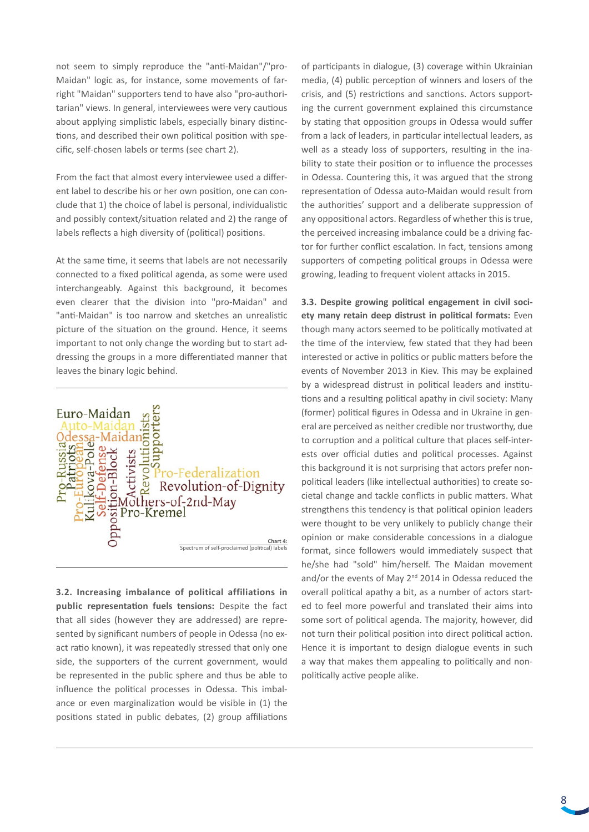not seem to simply reproduce the "anti-Maidan"/"pro-Maidan" logic as, for instance, some movements of farright "Maidan" supporters tend to have also "pro-authoritarian" views. In general, interviewees were very cautious about applying simplistic labels, especially binary distinctions, and described their own political position with specific, self-chosen labels or terms (see chart 2).

From the fact that almost every interviewee used a different label to describe his or her own position, one can conclude that 1) the choice of label is personal, individualistic and possibly context/situation related and 2) the range of labels reflects a high diversity of (political) positions.

At the same time, it seems that labels are not necessarily connected to a fixed political agenda, as some were used interchangeably. Against this background, it becomes even clearer that the division into "pro-Maidan" and "anti-Maidan" is too narrow and sketches an unrealistic picture of the situation on the ground. Hence, it seems important to not only change the wording but to start addressing the groups in a more differentiated manner that leaves the binary logic behind.



**3.2. Increasing imbalance of political affiliations in public representation fuels tensions:** Despite the fact that all sides (however they are addressed) are represented by significant numbers of people in Odessa (no exact ratio known), it was repeatedly stressed that only one side, the supporters of the current government, would be represented in the public sphere and thus be able to influence the political processes in Odessa. This imbalance or even marginalization would be visible in (1) the positions stated in public debates, (2) group affiliations

of participants in dialogue, (3) coverage within Ukrainian media, (4) public perception of winners and losers of the crisis, and (5) restrictions and sanctions. Actors supporting the current government explained this circumstance by stating that opposition groups in Odessa would suffer from a lack of leaders, in particular intellectual leaders, as well as a steady loss of supporters, resulting in the inability to state their position or to influence the processes in Odessa. Countering this, it was argued that the strong representation of Odessa auto-Maidan would result from the authorities' support and a deliberate suppression of any oppositional actors. Regardless of whether this is true, the perceived increasing imbalance could be a driving factor for further conflict escalation. In fact, tensions among supporters of competing political groups in Odessa were growing, leading to frequent violent attacks in 2015.

**3.3. Despite growing political engagement in civil society many retain deep distrust in political formats:** Even though many actors seemed to be politically motivated at the time of the interview, few stated that they had been interested or active in politics or public matters before the events of November 2013 in Kiev. This may be explained by a widespread distrust in political leaders and institutions and a resulting political apathy in civil society: Many (former) political figures in Odessa and in Ukraine in general are perceived as neither credible nor trustworthy, due to corruption and a political culture that places self-interests over official duties and political processes. Against this background it is not surprising that actors prefer nonpolitical leaders (like intellectual authorities) to create societal change and tackle conflicts in public matters. What strengthens this tendency is that political opinion leaders were thought to be very unlikely to publicly change their opinion or make considerable concessions in a dialogue format, since followers would immediately suspect that he/she had "sold" him/herself. The Maidan movement and/or the events of May  $2^{nd}$  2014 in Odessa reduced the overall political apathy a bit, as a number of actors started to feel more powerful and translated their aims into some sort of political agenda. The majority, however, did not turn their political position into direct political action. Hence it is important to design dialogue events in such a way that makes them appealing to politically and nonpolitically active people alike.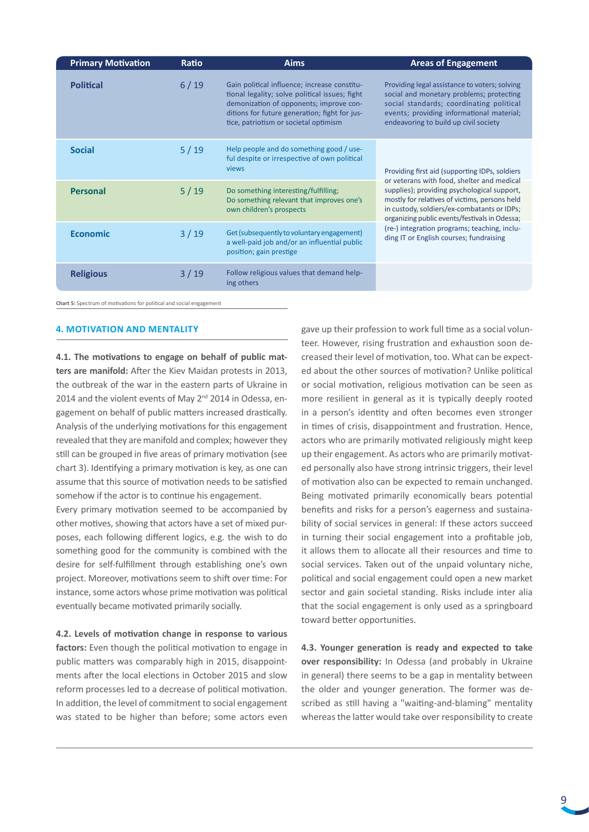| <b>Primary Motivation</b> | Ratio  | <b>Aims</b>                                                                                                                                                                                                                         | <b>Areas of Engagement</b>                                                                                                                                                                                                                                                                                                                                                              |
|---------------------------|--------|-------------------------------------------------------------------------------------------------------------------------------------------------------------------------------------------------------------------------------------|-----------------------------------------------------------------------------------------------------------------------------------------------------------------------------------------------------------------------------------------------------------------------------------------------------------------------------------------------------------------------------------------|
| <b>Political</b>          | 6/19   | Gain political influence; increase constitu-<br>tional legality; solve political issues; fight<br>demonization of opponents; improve con-<br>ditions for future generation; fight for jus-<br>tice, patriotism or societal optimism | Providing legal assistance to voters; solving<br>social and monetary problems; protecting<br>social standards; coordinating political<br>events; providing informational material;<br>endeavoring to build up civil society                                                                                                                                                             |
| <b>Social</b>             | 5/19   | Help people and do something good / use-<br>ful despite or irrespective of own political<br>views                                                                                                                                   | Providing first aid (supporting IDPs, soldiers<br>or veterans with food, shelter and medical<br>supplies); providing psychological support,<br>mostly for relatives of victims, persons held<br>in custody, soldiers/ex-combatants or IDPs;<br>organizing public events/festivals in Odessa;<br>(re-) integration programs; teaching, inclu-<br>ding IT or English courses; fundraising |
| <b>Personal</b>           | 5/19   | Do something interesting/fulfilling;<br>Do something relevant that improves one's<br>own children's prospects                                                                                                                       |                                                                                                                                                                                                                                                                                                                                                                                         |
| <b>Economic</b>           | $3/19$ | Get (subsequently to voluntary engagement)<br>a well-paid job and/or an influential public<br>position; gain prestige                                                                                                               |                                                                                                                                                                                                                                                                                                                                                                                         |
| <b>Religious</b>          | $3/19$ | Follow religious values that demand help-<br>ing others                                                                                                                                                                             |                                                                                                                                                                                                                                                                                                                                                                                         |

**Chart 5:** Spectrum of motivations for political and social engagement

#### **4. Motivation and Mentality**

**4.1. The motivations to engage on behalf of public matters are manifold:** After the Kiev Maidan protests in 2013, the outbreak of the war in the eastern parts of Ukraine in 2014 and the violent events of May 2<sup>nd</sup> 2014 in Odessa, engagement on behalf of public matters increased drastically. Analysis of the underlying motivations for this engagement revealed that they are manifold and complex; however they still can be grouped in five areas of primary motivation (see chart 3). Identifying a primary motivation is key, as one can assume that this source of motivation needs to be satisfied somehow if the actor is to continue his engagement.

Every primary motivation seemed to be accompanied by other motives, showing that actors have a set of mixed purposes, each following different logics, e.g. the wish to do something good for the community is combined with the desire for self-fulfillment through establishing one's own project. Moreover, motivations seem to shift over time: For instance, some actors whose prime motivation was political eventually became motivated primarily socially.

**4.2. Levels of motivation change in response to various**  factors: Even though the political motivation to engage in public matters was comparably high in 2015, disappointments after the local elections in October 2015 and slow reform processes led to a decrease of political motivation. In addition, the level of commitment to social engagement was stated to be higher than before; some actors even

gave up their profession to work full time as a social volunteer. However, rising frustration and exhaustion soon decreased their level of motivation, too. What can be expected about the other sources of motivation? Unlike political or social motivation, religious motivation can be seen as more resilient in general as it is typically deeply rooted in a person's identity and often becomes even stronger in times of crisis, disappointment and frustration. Hence, actors who are primarily motivated religiously might keep up their engagement. As actors who are primarily motivated personally also have strong intrinsic triggers, their level of motivation also can be expected to remain unchanged. Being motivated primarily economically bears potential benefits and risks for a person's eagerness and sustainability of social services in general: If these actors succeed in turning their social engagement into a profitable job, it allows them to allocate all their resources and time to social services. Taken out of the unpaid voluntary niche, political and social engagement could open a new market sector and gain societal standing. Risks include inter alia that the social engagement is only used as a springboard toward better opportunities.

**4.3. Younger generation is ready and expected to take over responsibility:** In Odessa (and probably in Ukraine in general) there seems to be a gap in mentality between the older and younger generation. The former was described as still having a "waiting-and-blaming" mentality whereas the latter would take over responsibility to create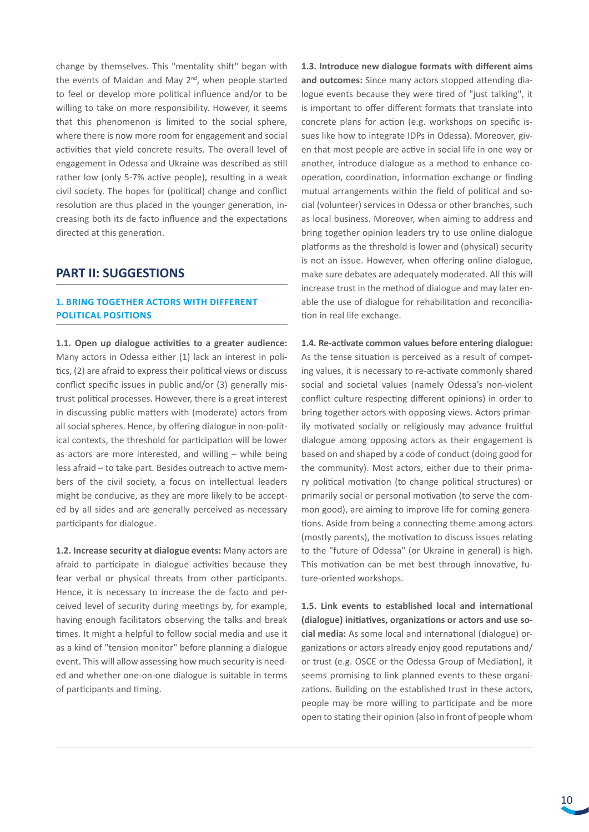change by themselves. This "mentality shift" began with the events of Maidan and May 2<sup>nd</sup>, when people started to feel or develop more political influence and/or to be willing to take on more responsibility. However, it seems that this phenomenon is limited to the social sphere, where there is now more room for engagement and social activities that yield concrete results. The overall level of engagement in Odessa and Ukraine was described as still rather low (only 5-7% active people), resulting in a weak civil society. The hopes for (political) change and conflict resolution are thus placed in the younger generation, increasing both its de facto influence and the expectations directed at this generation.

# **PART II: SUGGESTIONS**

# **1. Bring together actors with different political positions**

**1.1. Open up dialogue activities to a greater audience:**  Many actors in Odessa either (1) lack an interest in politics, (2) are afraid to express their political views or discuss conflict specific issues in public and/or (3) generally mistrust political processes. However, there is a great interest in discussing public matters with (moderate) actors from all social spheres. Hence, by offering dialogue in non-political contexts, the threshold for participation will be lower as actors are more interested, and willing – while being less afraid – to take part. Besides outreach to active members of the civil society, a focus on intellectual leaders might be conducive, as they are more likely to be accepted by all sides and are generally perceived as necessary participants for dialogue.

**1.2. Increase security at dialogue events:** Many actors are afraid to participate in dialogue activities because they fear verbal or physical threats from other participants. Hence, it is necessary to increase the de facto and perceived level of security during meetings by, for example, having enough facilitators observing the talks and break times. It might a helpful to follow social media and use it as a kind of "tension monitor" before planning a dialogue event. This will allow assessing how much security is needed and whether one-on-one dialogue is suitable in terms of participants and timing.

**1.3. Introduce new dialogue formats with different aims and outcomes:** Since many actors stopped attending dialogue events because they were tired of "just talking", it is important to offer different formats that translate into concrete plans for action (e.g. workshops on specific issues like how to integrate IDPs in Odessa). Moreover, given that most people are active in social life in one way or another, introduce dialogue as a method to enhance cooperation, coordination, information exchange or finding mutual arrangements within the field of political and social (volunteer) services in Odessa or other branches, such as local business. Moreover, when aiming to address and bring together opinion leaders try to use online dialogue platforms as the threshold is lower and (physical) security is not an issue. However, when offering online dialogue, make sure debates are adequately moderated. All this will increase trust in the method of dialogue and may later enable the use of dialogue for rehabilitation and reconciliation in real life exchange.

**1.4. Re-activate common values before entering dialogue:**  As the tense situation is perceived as a result of competing values, it is necessary to re-activate commonly shared social and societal values (namely Odessa's non-violent conflict culture respecting different opinions) in order to bring together actors with opposing views. Actors primarily motivated socially or religiously may advance fruitful dialogue among opposing actors as their engagement is based on and shaped by a code of conduct (doing good for the community). Most actors, either due to their primary political motivation (to change political structures) or primarily social or personal motivation (to serve the common good), are aiming to improve life for coming generations. Aside from being a connecting theme among actors (mostly parents), the motivation to discuss issues relating to the "future of Odessa" (or Ukraine in general) is high. This motivation can be met best through innovative, future-oriented workshops.

**1.5. Link events to established local and international (dialogue) initiatives, organizations or actors and use social media:** As some local and international (dialogue) organizations or actors already enjoy good reputations and/ or trust (e.g. OSCE or the Odessa Group of Mediation), it seems promising to link planned events to these organizations. Building on the established trust in these actors, people may be more willing to participate and be more open to stating their opinion (also in front of people whom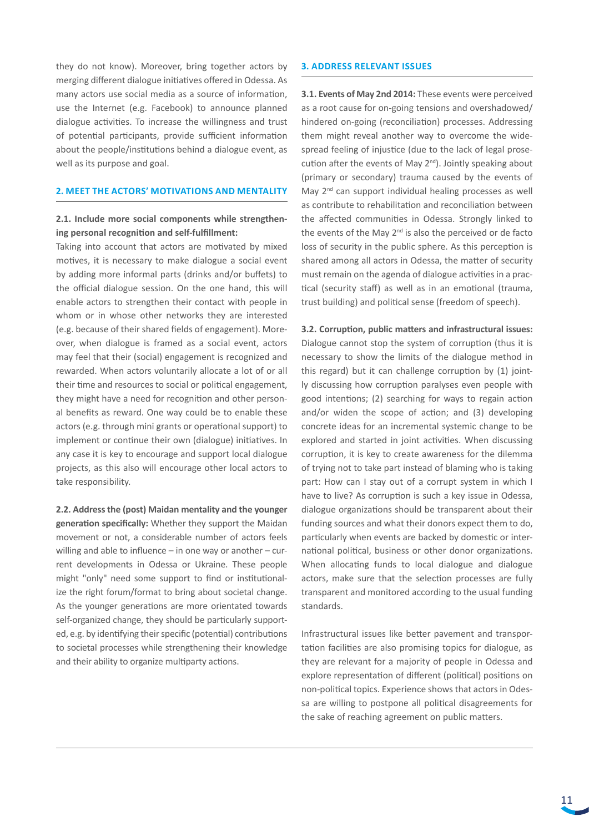they do not know). Moreover, bring together actors by merging different dialogue initiatives offered in Odessa. As many actors use social media as a source of information, use the Internet (e.g. Facebook) to announce planned dialogue activities. To increase the willingness and trust of potential participants, provide sufficient information about the people/institutions behind a dialogue event, as well as its purpose and goal.

# **2. Meet the actors' motivations and mentality**

# **2.1. Include more social components while strengthening personal recognition and self-fulfillment:**

Taking into account that actors are motivated by mixed motives, it is necessary to make dialogue a social event by adding more informal parts (drinks and/or buffets) to the official dialogue session. On the one hand, this will enable actors to strengthen their contact with people in whom or in whose other networks they are interested (e.g. because of their shared fields of engagement). Moreover, when dialogue is framed as a social event, actors may feel that their (social) engagement is recognized and rewarded. When actors voluntarily allocate a lot of or all their time and resources to social or political engagement, they might have a need for recognition and other personal benefits as reward. One way could be to enable these actors (e.g. through mini grants or operational support) to implement or continue their own (dialogue) initiatives. In any case it is key to encourage and support local dialogue projects, as this also will encourage other local actors to take responsibility.

**2.2. Address the (post) Maidan mentality and the younger generation specifically:** Whether they support the Maidan movement or not, a considerable number of actors feels willing and able to influence – in one way or another – current developments in Odessa or Ukraine. These people might "only" need some support to find or institutionalize the right forum/format to bring about societal change. As the younger generations are more orientated towards self-organized change, they should be particularly supported, e.g. by identifying their specific (potential) contributions to societal processes while strengthening their knowledge and their ability to organize multiparty actions.

## **3. Address relevant issues**

**3.1. Events of May 2nd 2014:** These events were perceived as a root cause for on-going tensions and overshadowed/ hindered on-going (reconciliation) processes. Addressing them might reveal another way to overcome the widespread feeling of injustice (due to the lack of legal prosecution after the events of May 2<sup>nd</sup>). Jointly speaking about (primary or secondary) trauma caused by the events of May  $2<sup>nd</sup>$  can support individual healing processes as well as contribute to rehabilitation and reconciliation between the affected communities in Odessa. Strongly linked to the events of the May  $2^{nd}$  is also the perceived or de facto loss of security in the public sphere. As this perception is shared among all actors in Odessa, the matter of security must remain on the agenda of dialogue activities in a practical (security staff) as well as in an emotional (trauma, trust building) and political sense (freedom of speech).

**3.2. Corruption, public matters and infrastructural issues:**  Dialogue cannot stop the system of corruption (thus it is necessary to show the limits of the dialogue method in this regard) but it can challenge corruption by (1) jointly discussing how corruption paralyses even people with good intentions; (2) searching for ways to regain action and/or widen the scope of action; and (3) developing concrete ideas for an incremental systemic change to be explored and started in joint activities. When discussing corruption, it is key to create awareness for the dilemma of trying not to take part instead of blaming who is taking part: How can I stay out of a corrupt system in which I have to live? As corruption is such a key issue in Odessa, dialogue organizations should be transparent about their funding sources and what their donors expect them to do, particularly when events are backed by domestic or international political, business or other donor organizations. When allocating funds to local dialogue and dialogue actors, make sure that the selection processes are fully transparent and monitored according to the usual funding standards.

Infrastructural issues like better pavement and transportation facilities are also promising topics for dialogue, as they are relevant for a majority of people in Odessa and explore representation of different (political) positions on non-political topics. Experience shows that actors in Odessa are willing to postpone all political disagreements for the sake of reaching agreement on public matters.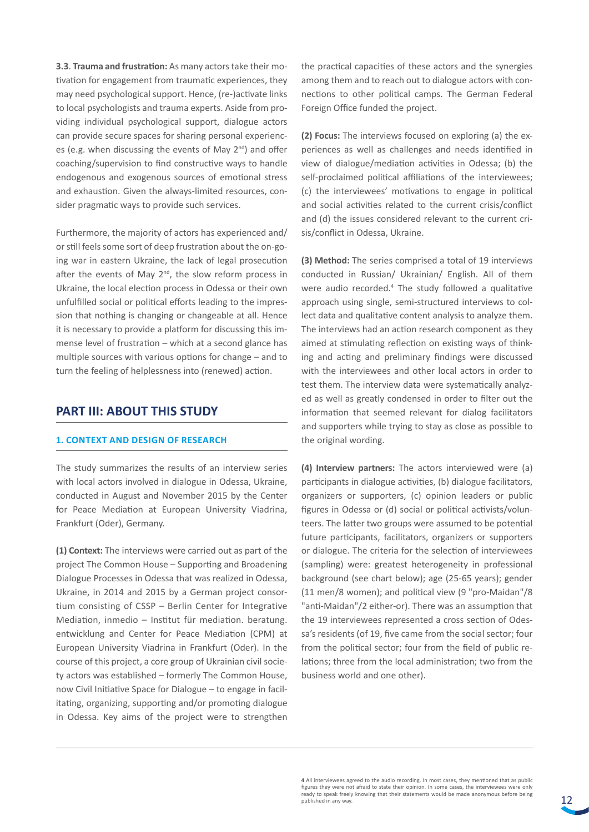**3.3**. **Trauma and frustration:** As many actors take their motivation for engagement from traumatic experiences, they may need psychological support. Hence, (re-)activate links to local psychologists and trauma experts. Aside from providing individual psychological support, dialogue actors can provide secure spaces for sharing personal experiences (e.g. when discussing the events of May 2nd) and offer coaching/supervision to find constructive ways to handle endogenous and exogenous sources of emotional stress and exhaustion. Given the always-limited resources, consider pragmatic ways to provide such services.

Furthermore, the majority of actors has experienced and/ or still feels some sort of deep frustration about the on-going war in eastern Ukraine, the lack of legal prosecution after the events of May  $2^{nd}$ , the slow reform process in Ukraine, the local election process in Odessa or their own unfulfilled social or political efforts leading to the impression that nothing is changing or changeable at all. Hence it is necessary to provide a platform for discussing this immense level of frustration – which at a second glance has multiple sources with various options for change – and to turn the feeling of helplessness into (renewed) action.

# **PART III: ABOUT THIS STUDY**

# **1. Context and design of research**

The study summarizes the results of an interview series with local actors involved in dialogue in Odessa, Ukraine, conducted in August and November 2015 by the Center for Peace Mediation at European University Viadrina, Frankfurt (Oder), Germany.

**(1) Context:** The interviews were carried out as part of the project The Common House – Supporting and Broadening Dialogue Processes in Odessa that was realized in Odessa, Ukraine, in 2014 and 2015 by a German project consortium consisting of CSSP – Berlin Center for Integrative Mediation, inmedio – Institut für mediation. beratung. entwicklung and Center for Peace Mediation (CPM) at European University Viadrina in Frankfurt (Oder). In the course of this project, a core group of Ukrainian civil society actors was established – formerly The Common House, now Civil Initiative Space for Dialogue – to engage in facilitating, organizing, supporting and/or promoting dialogue in Odessa. Key aims of the project were to strengthen

the practical capacities of these actors and the synergies among them and to reach out to dialogue actors with connections to other political camps. The German Federal Foreign Office funded the project.

**(2) Focus:** The interviews focused on exploring (a) the experiences as well as challenges and needs identified in view of dialogue/mediation activities in Odessa; (b) the self-proclaimed political affiliations of the interviewees; (c) the interviewees' motivations to engage in political and social activities related to the current crisis/conflict and (d) the issues considered relevant to the current crisis/conflict in Odessa, Ukraine.

**(3) Method:** The series comprised a total of 19 interviews conducted in Russian/ Ukrainian/ English. All of them were audio recorded.<sup>4</sup> The study followed a qualitative approach using single, semi-structured interviews to collect data and qualitative content analysis to analyze them. The interviews had an action research component as they aimed at stimulating reflection on existing ways of thinking and acting and preliminary findings were discussed with the interviewees and other local actors in order to test them. The interview data were systematically analyzed as well as greatly condensed in order to filter out the information that seemed relevant for dialog facilitators and supporters while trying to stay as close as possible to the original wording.

**(4) Interview partners:** The actors interviewed were (a) participants in dialogue activities, (b) dialogue facilitators, organizers or supporters, (c) opinion leaders or public figures in Odessa or (d) social or political activists/volunteers. The latter two groups were assumed to be potential future participants, facilitators, organizers or supporters or dialogue. The criteria for the selection of interviewees (sampling) were: greatest heterogeneity in professional background (see chart below); age (25-65 years); gender (11 men/8 women); and political view (9 "pro-Maidan"/8 "anti-Maidan"/2 either-or). There was an assumption that the 19 interviewees represented a cross section of Odessa's residents (of 19, five came from the social sector; four from the political sector; four from the field of public relations; three from the local administration; two from the business world and one other).

**<sup>4</sup>** All interviewees agreed to the audio recording. In most cases, they mentioned that as public figures they were not afraid to state their opinion. In some cases, the interviewees were only ready to speak freely knowing that their statements would be made anonymous before being published in any way.